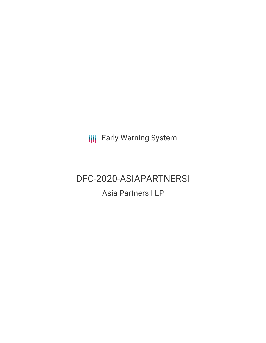**III** Early Warning System

# DFC-2020-ASIAPARTNERSI

Asia Partners I LP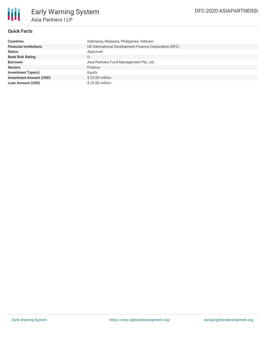

## **Quick Facts**

| <b>Countries</b>               | Indonesia, Malaysia, Philippines, Vietnam              |
|--------------------------------|--------------------------------------------------------|
| <b>Financial Institutions</b>  | US International Development Finance Corporation (DFC) |
| <b>Status</b>                  | Approved                                               |
| <b>Bank Risk Rating</b>        | U                                                      |
| <b>Borrower</b>                | Asia Partners Fund Management Pte. Ltd.                |
| <b>Sectors</b>                 | Finance                                                |
| <b>Investment Type(s)</b>      | Equity                                                 |
| <b>Investment Amount (USD)</b> | \$25.00 million                                        |
| <b>Loan Amount (USD)</b>       | \$25.00 million                                        |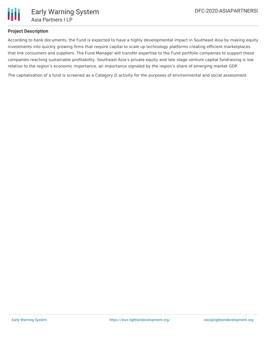## **Project Description**

According to bank documents, the Fund is expected to have a highly developmental impact in Southeast Asia by making equity investments into quickly growing firms that require capital to scale up technology platforms creating efficient marketplaces that link consumers and suppliers. The Fund Manager will transfer expertise to the Fund portfolio companies to support these companies reaching sustainable profitability. Southeast Asia's private equity and late stage venture capital fundraising is low relative to the region's economic importance, an importance signaled by the region's share of emerging market GDP.

The capitalization of a fund is screened as a Category D activity for the purposes of environmental and social assessment.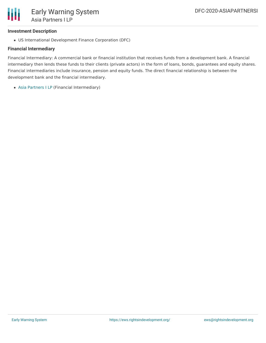

#### **Investment Description**

US International Development Finance Corporation (DFC)

## **Financial Intermediary**

Financial Intermediary: A commercial bank or financial institution that receives funds from a development bank. A financial intermediary then lends these funds to their clients (private actors) in the form of loans, bonds, guarantees and equity shares. Financial intermediaries include insurance, pension and equity funds. The direct financial relationship is between the development bank and the financial intermediary.

Asia [Partners](file:///actor/3072/) I LP (Financial Intermediary)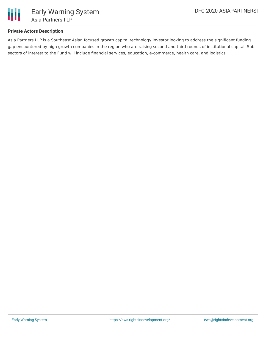

## **Private Actors Description**

Asia Partners I LP is a Southeast Asian focused growth capital technology investor looking to address the significant funding gap encountered by high growth companies in the region who are raising second and third rounds of institutional capital. Subsectors of interest to the Fund will include financial services, education, e-commerce, health care, and logistics.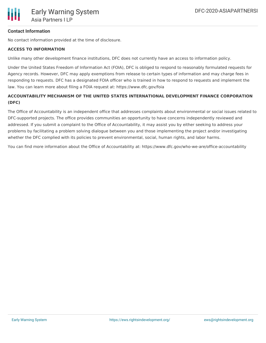

### **Contact Information**

No contact information provided at the time of disclosure.

#### **ACCESS TO INFORMATION**

Unlike many other development finance institutions, DFC does not currently have an access to information policy.

Under the United States Freedom of Information Act (FOIA), DFC is obliged to respond to reasonably formulated requests for Agency records. However, DFC may apply exemptions from release to certain types of information and may charge fees in responding to requests. DFC has a designated FOIA officer who is trained in how to respond to requests and implement the law. You can learn more about filing a FOIA request at: https://www.dfc.gov/foia

# **ACCOUNTABILITY MECHANISM OF THE UNITED STATES INTERNATIONAL DEVELOPMENT FINANCE CORPORATION (DFC)**

The Office of Accountability is an independent office that addresses complaints about environmental or social issues related to DFC-supported projects. The office provides communities an opportunity to have concerns independently reviewed and addressed. If you submit a complaint to the Office of Accountability, it may assist you by either seeking to address your problems by facilitating a problem solving dialogue between you and those implementing the project and/or investigating whether the DFC complied with its policies to prevent environmental, social, human rights, and labor harms.

You can find more information about the Office of Accountability at: https://www.dfc.gov/who-we-are/office-accountability